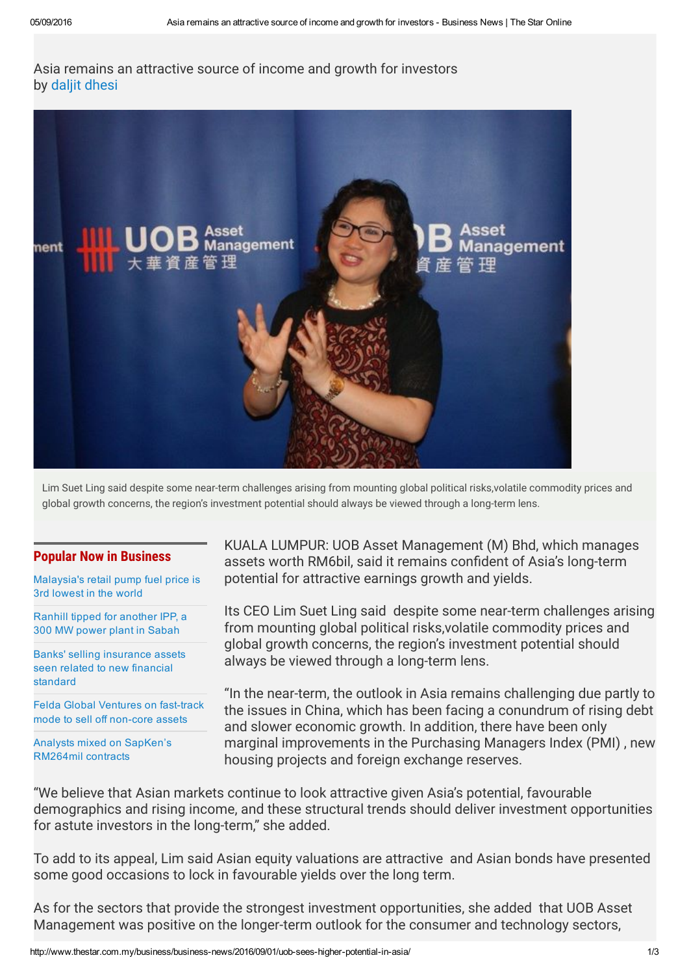## Asia remains an attractive source of income and growth for investors by daljit [dhesi](http://www.thestar.com.my/authors?q=%22Daljit+Dhesi%22)



Lim Suet Ling said despite some near-term challenges arising from mounting global political risks,volatile commodity prices and global growth concerns, the region's investment potential should always be viewed through a long-term lens.

## Popular Now in Business

[Malaysia's](http://www.thestar.com.my/business/business-news/2016/09/05/are-we-witnessing-fuel-savings-into-spending/) retail pump fuel price is 3rd lowest in the world

Ranhill tipped for [another](http://www.thestar.com.my/business/business-news/2016/09/05/ranhill-tipped-for-another-ipp/) IPP, a 300 MW power plant in Sabah

Banks' selling [insurance](http://www.thestar.com.my/business/business-news/2016/09/05/headed-for-the-exit/) assets seen related to new financial standard

Felda Global Ventures on fast-track mode to sell off non-core assets

Analysts mixed on SapKen's [RM264mil](http://www.thestar.com.my/business/business-news/2016/09/05/analysts-mixed-on-sapkens-rm264mil-contracts/) contracts

KUALA LUMPUR: UOB Asset Management (M) Bhd, which manages assets worth RM6bil, said it remains confident of Asia's long-term potential for attractive earnings growth and yields.

Its CEO Lim Suet Ling said despite some near-term challenges arising from mounting global political risks,volatile commodity prices and global growth concerns, the region's investment potential should always be viewed through a long-term lens.

"In the near-term, the outlook in Asia remains challenging due partly to the issues in China, which has been facing a conundrum of rising debt and slower economic growth. In addition, there have been only marginal improvements in the Purchasing Managers Index (PMI) , new housing projects and foreign exchange reserves.

"We believe that Asian markets continue to look attractive given Asia's potential, favourable demographics and rising income, and these structural trends should deliver investment opportunities for astute investors in the long-term," she added.

To add to its appeal, Lim said Asian equity valuations are attractive and Asian bonds have presented some good occasions to lock in favourable yields over the long term.

As for the sectors that provide the strongest investment opportunities, she added that UOB Asset Management was positive on the longer-term outlook for the consumer and technology sectors,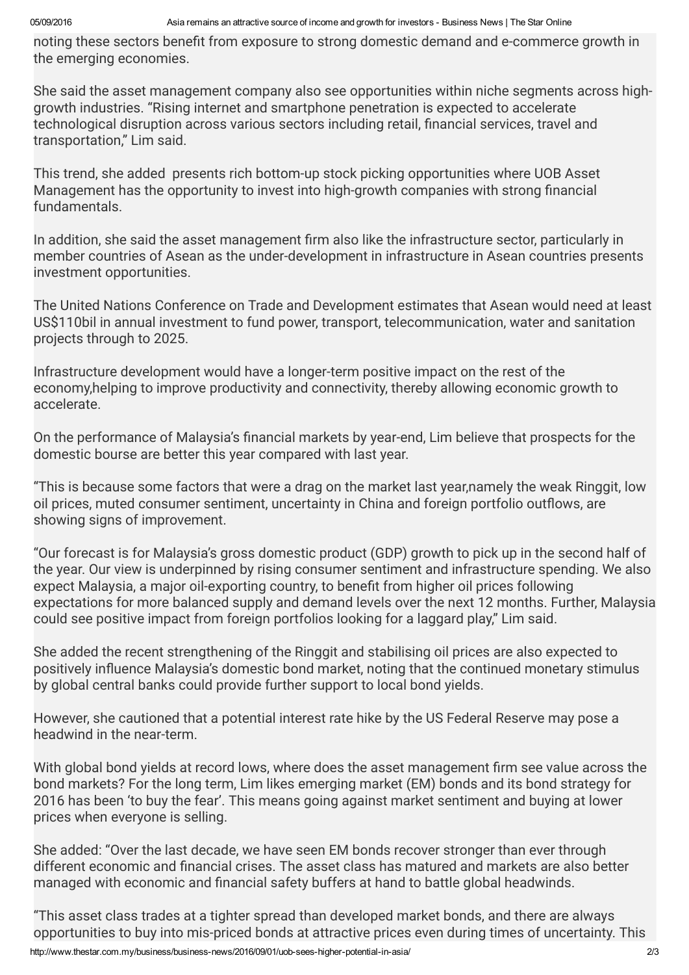noting these sectors benefit from exposure to strong domestic demand and e-commerce growth in the emerging economies.

She said the asset management company also see opportunities within niche segments across highgrowth industries. "Rising internet and smartphone penetration is expected to accelerate technological disruption across various sectors including retail, financial services, travel and transportation," Lim said.

This trend, she added presents rich bottom-up stock picking opportunities where UOB Asset Management has the opportunity to invest into high-growth companies with strong financial fundamentals.

In addition, she said the asset management firm also like the infrastructure sector, particularly in member countries of Asean as the under-development in infrastructure in Asean countries presents investment opportunities.

The United Nations Conference on Trade and Development estimates that Asean would need at least US\$110bil in annual investment to fund power, transport, telecommunication, water and sanitation projects through to 2025.

Infrastructure development would have a longer-term positive impact on the rest of the economy,helping to improve productivity and connectivity, thereby allowing economic growth to accelerate.

On the performance of Malaysia's financial markets by year-end, Lim believe that prospects for the domestic bourse are better this year compared with last year.

"This is because some factors that were a drag on the market last year,namely the weak Ringgit, low oil prices, muted consumer sentiment, uncertainty in China and foreign portfolio outflows, are showing signs of improvement.

"Our forecast is for Malaysia's gross domestic product (GDP) growth to pick up in the second half of the year. Our view is underpinned by rising consumer sentiment and infrastructure spending. We also expect Malaysia, a major oil-exporting country, to benefit from higher oil prices following expectations for more balanced supply and demand levels over the next 12 months. Further, Malaysia could see positive impact from foreign portfolios looking for a laggard play,'' Lim said.

She added the recent strengthening of the Ringgit and stabilising oil prices are also expected to positively influence Malaysia's domestic bond market, noting that the continued monetary stimulus by global central banks could provide further support to local bond yields.

However, she cautioned that a potential interest rate hike by the US Federal Reserve may pose a headwind in the near-term.

With global bond yields at record lows, where does the asset management firm see value across the bond markets? For the long term, Lim likes emerging market (EM) bonds and its bond strategy for 2016 has been 'to buy the fear'. This means going against market sentiment and buying at lower prices when everyone is selling.

She added: "Over the last decade, we have seen EM bonds recover stronger than ever through different economic and financial crises. The asset class has matured and markets are also better managed with economic and financial safety buffers at hand to battle global headwinds.

"This asset class trades at a tighter spread than developed market bonds, and there are always opportunities to buy into mis-priced bonds at attractive prices even during times of uncertainty. This